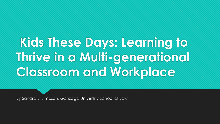# **Kids These Days: Learning to Thrive in a Multi-generational Classroom and Workplace**

By Sandra L. Simpson, Gonzaga University School of Law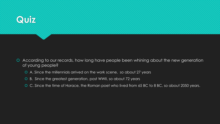

- According to our records, how long have people been whining about the new generation of young people?
	- A. Since the millennials arrived on the work scene, so about 27 years
	- B. Since the greatest generation, post WWII, so about 72 years
	- C. Since the time of Horace, the Roman poet who lived from 65 BC to 8 BC, so about 2050 years.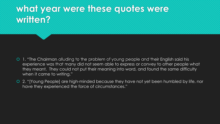## **what year were these quotes were written?**

- O 1. "The Chairman alluding to the problem of young people and their English said his experience was that many did not seem able to express or convey to other people what they meant. They could not put their meaning into word, and found the same difficulty when it came to writing."
- 2. "[Young People] are high-minded because they have not yet been humbled by life, nor have they experienced the force of circumstances."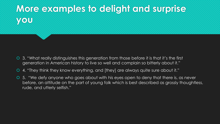## **More examples to delight and surprise you**

- 3. "What really distinguishes this generation from those before it is that it's the first generation in American history to live so well and complain so bitterly about it."
- 4. "They think they know everything, and [they] are always quite sure about it."
- 5. "We defy anyone who goes about with his eyes open to deny that there is, as never before, an attitude on the part of young folk which is best described as grossly thoughtless, rude, and utterly selfish."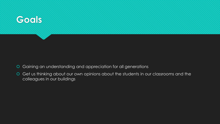

- Gaining an understanding and appreciation for all generations
- Get us thinking about our own opinions about the students in our classrooms and the colleagues in our buildings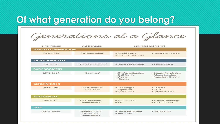#### **Of what generation do you belong?**

Generations at a Glance

| <b>BIRTH YEARS</b>         | <b>ALSO CALLED</b>                             | <b>DEFINING MOMENTS</b>                                         |                                                           |
|----------------------------|------------------------------------------------|-----------------------------------------------------------------|-----------------------------------------------------------|
| <b>GREATEST GENERATION</b> |                                                |                                                                 |                                                           |
| 1901-1924                  | "GI Generation"                                | · World War I<br>• Roaring Twenties                             | • Great Depression                                        |
| <b>TRADITIONALISTS</b>     |                                                |                                                                 |                                                           |
| 1925-1945                  | "Silent Generation"                            | · Great Depression                                              | · World War II                                            |
| <b>BABY BOOMERS</b>        |                                                |                                                                 |                                                           |
| 1946-1964                  | "Boomers"                                      | · JFK Assassination<br>• Civil Rights<br>· Vietnam<br>· Hippies | · Sexual Revolution<br>• Moon Landing<br>· American Dream |
| <b>GENERATION X</b>        |                                                |                                                                 |                                                           |
| 1965-1981                  | "Baby Busters"<br>"Gen-Xers"                   | • Challenger<br>Explosion<br>· Berlin Wall                      | · Divorce<br>$\bullet$ MTV<br>• Latchkey Kids             |
| <b>MILLENNIALS</b>         |                                                |                                                                 |                                                           |
| 1982-2000                  | "Echo Boomers"<br>"Generation Y"               | • 9/11 attacks<br>$\bullet$ Y2K                                 | · School shootings<br>· Social media                      |
| <b>iGEN</b>                |                                                |                                                                 |                                                           |
| 2001-Present               | "Homelanders"<br>"Screeners"<br>"Generation Z" | · Great Recession<br>· Terrorism                                | • Technology                                              |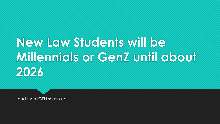# **New Law Students will be Millennials or GenZ until about 2026**

And then IGEN shows up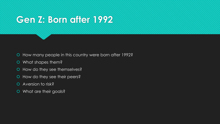### **Gen Z: Born after 1992**

- O How many people in this country were born after 1992?
- What shapes them?
- O How do they see themselves?
- O How do they see their peers?
- Aversion to risk?
- O What are their goals?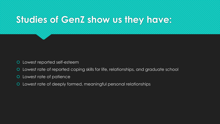### **Studies of GenZ show us they have:**

- Lowest reported self-esteem
- Lowest rate of reported coping skills for life, relationships, and graduate school
- Lowest rate of patience
- Lowest rate of deeply formed, meaningful personal relationships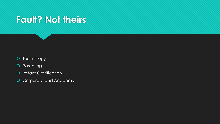### **Fault? Not theirs**

- O Technology
- O Parenting
- **O** Instant Gratification
- Corporate and Academia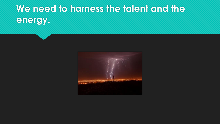# **We need to harness the talent and the energy.**

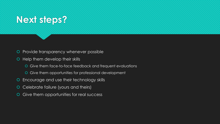### **Next steps?**

- **O** Provide transparency whenever possible
- **O** Help them develop their skills
	- Give them face-to-face feedback and frequent evaluations
	- Give them opportunities for professional development
- Encourage and use their technology skills
- Celebrate failure (yours and theirs)
- Give them opportunities for real success